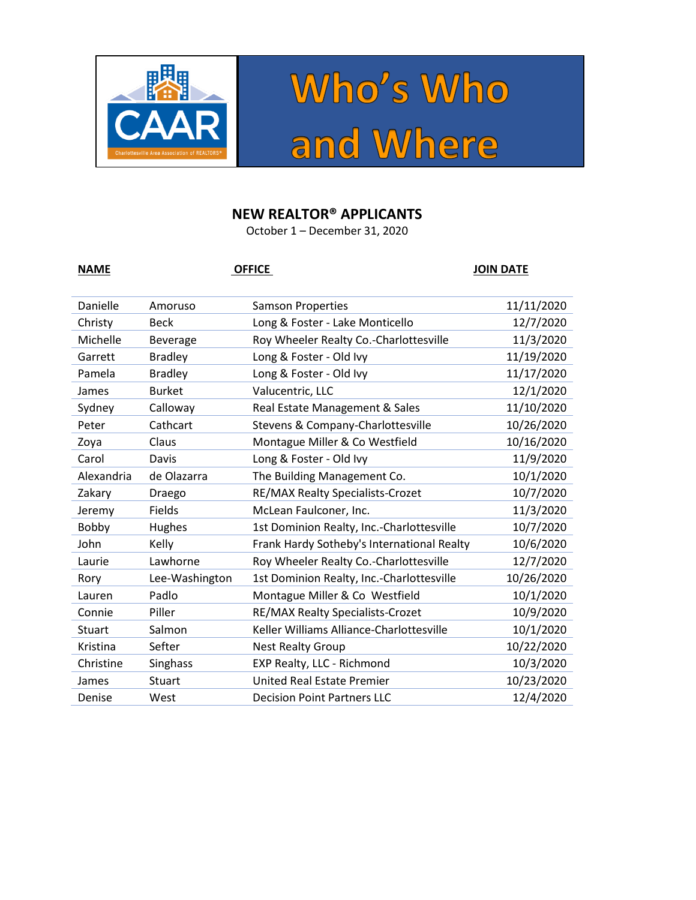



## **NEW REALTOR® APPLICANTS**

October 1 – December 31, 2020

| <b>NAME</b> |                 | <b>OFFICE</b>                              | <b>JOIN DATE</b> |
|-------------|-----------------|--------------------------------------------|------------------|
| Danielle    | Amoruso         | <b>Samson Properties</b>                   | 11/11/2020       |
| Christy     | <b>Beck</b>     | Long & Foster - Lake Monticello            | 12/7/2020        |
| Michelle    | <b>Beverage</b> | Roy Wheeler Realty Co.-Charlottesville     | 11/3/2020        |
| Garrett     | <b>Bradley</b>  | Long & Foster - Old Ivy                    | 11/19/2020       |
| Pamela      | <b>Bradley</b>  | Long & Foster - Old Ivy                    | 11/17/2020       |
| James       | <b>Burket</b>   | Valucentric, LLC                           | 12/1/2020        |
| Sydney      | Calloway        | Real Estate Management & Sales             | 11/10/2020       |
| Peter       | Cathcart        | Stevens & Company-Charlottesville          | 10/26/2020       |
| Zoya        | Claus           | Montague Miller & Co Westfield             | 10/16/2020       |
| Carol       | Davis           | Long & Foster - Old Ivy                    | 11/9/2020        |
| Alexandria  | de Olazarra     | The Building Management Co.                | 10/1/2020        |
| Zakary      | Draego          | RE/MAX Realty Specialists-Crozet           | 10/7/2020        |
| Jeremy      | Fields          | McLean Faulconer, Inc.                     | 11/3/2020        |
| Bobby       | Hughes          | 1st Dominion Realty, Inc.-Charlottesville  | 10/7/2020        |
| John        | Kelly           | Frank Hardy Sotheby's International Realty | 10/6/2020        |
| Laurie      | Lawhorne        | Roy Wheeler Realty Co.-Charlottesville     | 12/7/2020        |
| Rory        | Lee-Washington  | 1st Dominion Realty, Inc.-Charlottesville  | 10/26/2020       |
| Lauren      | Padlo           | Montague Miller & Co Westfield             | 10/1/2020        |
| Connie      | Piller          | RE/MAX Realty Specialists-Crozet           | 10/9/2020        |
| Stuart      | Salmon          | Keller Williams Alliance-Charlottesville   | 10/1/2020        |
| Kristina    | Sefter          | <b>Nest Realty Group</b>                   | 10/22/2020       |
| Christine   | Singhass        | EXP Realty, LLC - Richmond                 | 10/3/2020        |
| James       | Stuart          | <b>United Real Estate Premier</b>          | 10/23/2020       |
| Denise      | West            | <b>Decision Point Partners LLC</b>         | 12/4/2020        |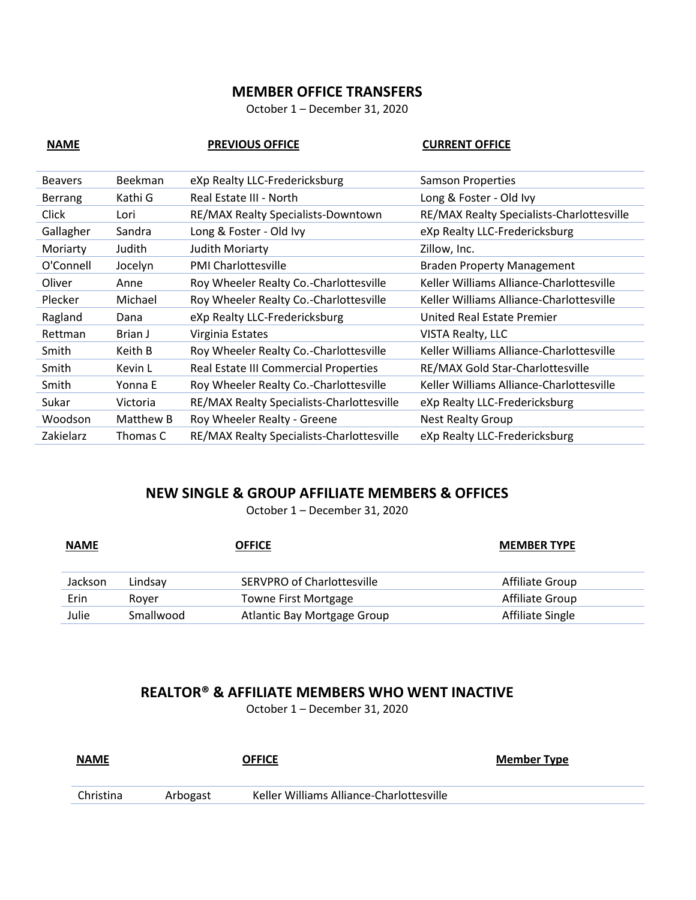## **MEMBER OFFICE TRANSFERS**

October 1 – December 31, 2020

| <b>NAME</b>    |                | <b>PREVIOUS OFFICE</b>                    | <b>CURRENT OFFICE</b>                     |
|----------------|----------------|-------------------------------------------|-------------------------------------------|
| <b>Beavers</b> | <b>Beekman</b> | eXp Realty LLC-Fredericksburg             | <b>Samson Properties</b>                  |
| <b>Berrang</b> | Kathi G        | Real Estate III - North                   | Long & Foster - Old Ivy                   |
| Click          | Lori           | RE/MAX Realty Specialists-Downtown        | RE/MAX Realty Specialists-Charlottesville |
| Gallagher      | Sandra         | Long & Foster - Old Ivy                   | eXp Realty LLC-Fredericksburg             |
| Moriarty       | Judith         | <b>Judith Moriarty</b>                    | Zillow, Inc.                              |
| O'Connell      | Jocelyn        | <b>PMI Charlottesville</b>                | <b>Braden Property Management</b>         |
| Oliver         | Anne           | Roy Wheeler Realty Co.-Charlottesville    | Keller Williams Alliance-Charlottesville  |
| Plecker        | Michael        | Roy Wheeler Realty Co.-Charlottesville    | Keller Williams Alliance-Charlottesville  |
| Ragland        | Dana           | eXp Realty LLC-Fredericksburg             | United Real Estate Premier                |
| Rettman        | Brian J        | Virginia Estates                          | <b>VISTA Realty, LLC</b>                  |
| Smith          | Keith B        | Roy Wheeler Realty Co.-Charlottesville    | Keller Williams Alliance-Charlottesville  |
| Smith          | Kevin L        | Real Estate III Commercial Properties     | RE/MAX Gold Star-Charlottesville          |
| Smith          | Yonna E        | Roy Wheeler Realty Co.-Charlottesville    | Keller Williams Alliance-Charlottesville  |
| Sukar          | Victoria       | RE/MAX Realty Specialists-Charlottesville | eXp Realty LLC-Fredericksburg             |
| Woodson        | Matthew B      | Roy Wheeler Realty - Greene               | <b>Nest Realty Group</b>                  |
| Zakielarz      | Thomas C       | RE/MAX Realty Specialists-Charlottesville | eXp Realty LLC-Fredericksburg             |

## **NEW SINGLE & GROUP AFFILIATE MEMBERS & OFFICES**

October 1 – December 31, 2020

| <b>NAME</b> | <b>OFFICE</b> |                             | <b>MEMBER TYPE</b> |  |
|-------------|---------------|-----------------------------|--------------------|--|
| Jackson     | Lindsav       | SERVPRO of Charlottesville  | Affiliate Group    |  |
| Erin        | Rover         | <b>Towne First Mortgage</b> | Affiliate Group    |  |
| Julie       | Smallwood     | Atlantic Bay Mortgage Group | Affiliate Single   |  |

## **REALTOR® & AFFILIATE MEMBERS WHO WENT INACTIVE**

October 1 – December 31, 2020

| <b>NAME</b><br>____ |          | <b>OFFICE</b>                            | <b>Member Type</b> |
|---------------------|----------|------------------------------------------|--------------------|
| Christina           | Arbogast | Keller Williams Alliance-Charlottesville |                    |